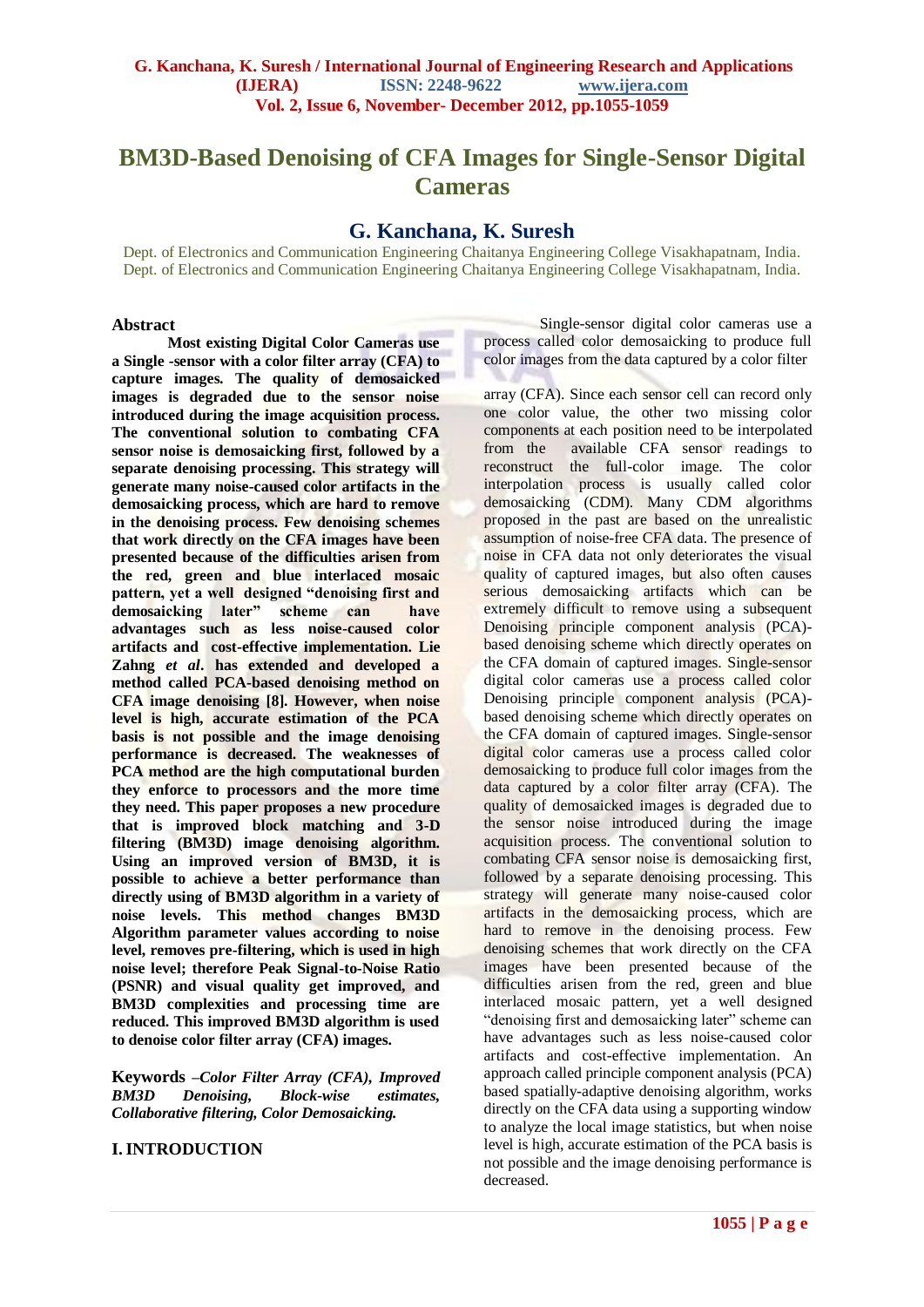# **BM3D-Based Denoising of CFA Images for Single-Sensor Digital Cameras**

## **G. Kanchana, K. Suresh**

Dept. of Electronics and Communication Engineering Chaitanya Engineering College Visakhapatnam, India. Dept. of Electronics and Communication Engineering Chaitanya Engineering College Visakhapatnam, India.

#### **Abstract**

**Most existing Digital Color Cameras use a Single -sensor with a color filter array (CFA) to capture images. The quality of demosaicked images is degraded due to the sensor noise introduced during the image acquisition process. The conventional solution to combating CFA sensor noise is demosaicking first, followed by a separate denoising processing. This strategy will generate many noise-caused color artifacts in the demosaicking process, which are hard to remove in the denoising process. Few denoising schemes that work directly on the CFA images have been presented because of the difficulties arisen from the red, green and blue interlaced mosaic pattern, yet a well designed "denoising first and demosaicking later" scheme can have advantages such as less noise-caused color artifacts and cost-effective implementation. Lie Zahng** *et al***. has extended and developed a method called PCA-based denoising method on CFA image denoising [8]. However, when noise level is high, accurate estimation of the PCA basis is not possible and the image denoising performance is decreased. The weaknesses of PCA method are the high computational burden they enforce to processors and the more time they need. This paper proposes a new procedure that is improved block matching and 3-D filtering (BM3D) image denoising algorithm. Using an improved version of BM3D, it is possible to achieve a better performance than directly using of BM3D algorithm in a variety of noise levels. This method changes BM3D Algorithm parameter values according to noise level, removes pre-filtering, which is used in high noise level; therefore Peak Signal-to-Noise Ratio (PSNR) and visual quality get improved, and BM3D complexities and processing time are reduced. This improved BM3D algorithm is used to denoise color filter array (CFA) images.**

**Keywords** *–Color Filter Array (CFA), Improved BM3D Denoising, Block-wise estimates, Collaborative filtering, Color Demosaicking.*

## **I.INTRODUCTION**

Single-sensor digital color cameras use a process called color demosaicking to produce full color images from the data captured by a color filter

array (CFA). Since each sensor cell can record only one color value, the other two missing color components at each position need to be interpolated from the available CFA sensor readings to reconstruct the full-color image. The color interpolation process is usually called color demosaicking (CDM). Many CDM algorithms proposed in the past are based on the unrealistic assumption of noise-free CFA data. The presence of noise in CFA data not only deteriorates the visual quality of captured images, but also often causes serious demosaicking artifacts which can be extremely difficult to remove using a subsequent Denoising principle component analysis (PCA)based denoising scheme which directly operates on the CFA domain of captured images. Single-sensor digital color cameras use a process called color Denoising principle component analysis (PCA) based denoising scheme which directly operates on the CFA domain of captured images. Single-sensor digital color cameras use a process called color demosaicking to produce full color images from the data captured by a color filter array (CFA). The quality of demosaicked images is degraded due to the sensor noise introduced during the image acquisition process. The conventional solution to combating CFA sensor noise is demosaicking first, followed by a separate denoising processing. This strategy will generate many noise-caused color artifacts in the demosaicking process, which are hard to remove in the denoising process. Few denoising schemes that work directly on the CFA images have been presented because of the difficulties arisen from the red, green and blue interlaced mosaic pattern, yet a well designed "denoising first and demosaicking later" scheme can have advantages such as less noise-caused color artifacts and cost-effective implementation. An approach called principle component analysis (PCA) based spatially-adaptive denoising algorithm, works directly on the CFA data using a supporting window to analyze the local image statistics, but when noise level is high, accurate estimation of the PCA basis is not possible and the image denoising performance is decreased.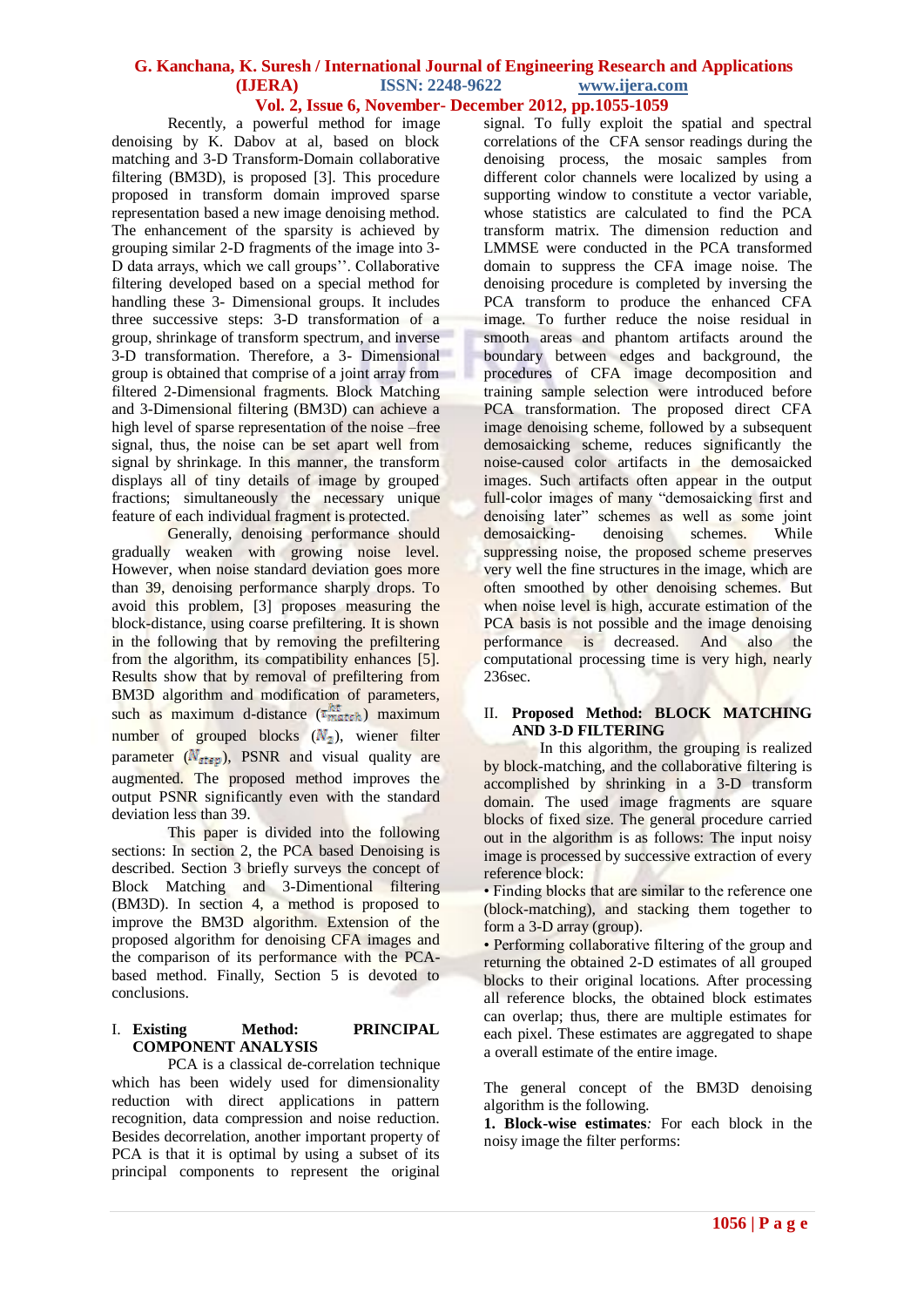## **G. Kanchana, K. Suresh / International Journal of Engineering Research and Applications (IJERA) ISSN: 2248-9622 www.ijera.com Vol. 2, Issue 6, November- December 2012, pp.1055-1059**

Recently, a powerful method for image denoising by K. Dabov at al, based on block matching and 3-D Transform-Domain collaborative filtering (BM3D), is proposed [3]. This procedure proposed in transform domain improved sparse representation based a new image denoising method. The enhancement of the sparsity is achieved by grouping similar 2-D fragments of the image into 3- D data arrays, which we call groups''. Collaborative filtering developed based on a special method for handling these 3- Dimensional groups. It includes three successive steps: 3-D transformation of a group, shrinkage of transform spectrum, and inverse 3-D transformation. Therefore, a 3- Dimensional group is obtained that comprise of a joint array from filtered 2-Dimensional fragments. Block Matching and 3-Dimensional filtering (BM3D) can achieve a high level of sparse representation of the noise –free signal, thus, the noise can be set apart well from signal by shrinkage. In this manner, the transform displays all of tiny details of image by grouped fractions; simultaneously the necessary unique feature of each individual fragment is protected.

Generally, denoising performance should gradually weaken with growing noise level. However, when noise standard deviation goes more than 39, denoising performance sharply drops. To avoid this problem, [3] proposes measuring the block-distance, using coarse prefiltering. It is shown in the following that by removing the prefiltering from the algorithm, its compatibility enhances [5]. Results show that by removal of prefiltering from BM3D algorithm and modification of parameters, such as maximum d-distance  $(\tau_{match}^{ht})$  maximum number of grouped blocks  $(N_2)$ , wiener filter parameter  $(N_{\text{atern}})$ , PSNR and visual quality are augmented. The proposed method improves the output PSNR significantly even with the standard deviation less than 39.

This paper is divided into the following sections: In section 2, the PCA based Denoising is described. Section 3 briefly surveys the concept of Block Matching and 3-Dimentional filtering (BM3D). In section 4, a method is proposed to improve the BM3D algorithm. Extension of the proposed algorithm for denoising CFA images and the comparison of its performance with the PCAbased method. Finally, Section 5 is devoted to conclusions.

## I. **Existing Method: PRINCIPAL COMPONENT ANALYSIS**

PCA is a classical de-correlation technique which has been widely used for dimensionality reduction with direct applications in pattern recognition, data compression and noise reduction. Besides decorrelation, another important property of PCA is that it is optimal by using a subset of its principal components to represent the original

signal. To fully exploit the spatial and spectral correlations of the CFA sensor readings during the denoising process, the mosaic samples from different color channels were localized by using a supporting window to constitute a vector variable, whose statistics are calculated to find the PCA transform matrix. The dimension reduction and LMMSE were conducted in the PCA transformed domain to suppress the CFA image noise. The denoising procedure is completed by inversing the PCA transform to produce the enhanced CFA image. To further reduce the noise residual in smooth areas and phantom artifacts around the boundary between edges and background, the procedures of CFA image decomposition and training sample selection were introduced before PCA transformation. The proposed direct CFA image denoising scheme, followed by a subsequent demosaicking scheme, reduces significantly the noise-caused color artifacts in the demosaicked images. Such artifacts often appear in the output full-color images of many "demosaicking first and denoising later" schemes as well as some joint<br>demosaicking-<br>denoising schemes. While demosaicking- denoising schemes. While suppressing noise, the proposed scheme preserves very well the fine structures in the image, which are often smoothed by other denoising schemes. But when noise level is high, accurate estimation of the PCA basis is not possible and the image denoising performance is decreased. And also the computational processing time is very high, nearly 236sec.

## II. **Proposed Method: BLOCK MATCHING AND 3-D FILTERING**

In this algorithm, the grouping is realized by block-matching, and the collaborative filtering is accomplished by shrinking in a 3-D transform domain. The used image fragments are square blocks of fixed size. The general procedure carried out in the algorithm is as follows: The input noisy image is processed by successive extraction of every reference block:

• Finding blocks that are similar to the reference one (block-matching), and stacking them together to form a 3-D array (group).

• Performing collaborative filtering of the group and returning the obtained 2-D estimates of all grouped blocks to their original locations. After processing all reference blocks, the obtained block estimates can overlap; thus, there are multiple estimates for each pixel. These estimates are aggregated to shape a overall estimate of the entire image.

The general concept of the BM3D denoising algorithm is the following.

**1. Block-wise estimates***:* For each block in the noisy image the filter performs: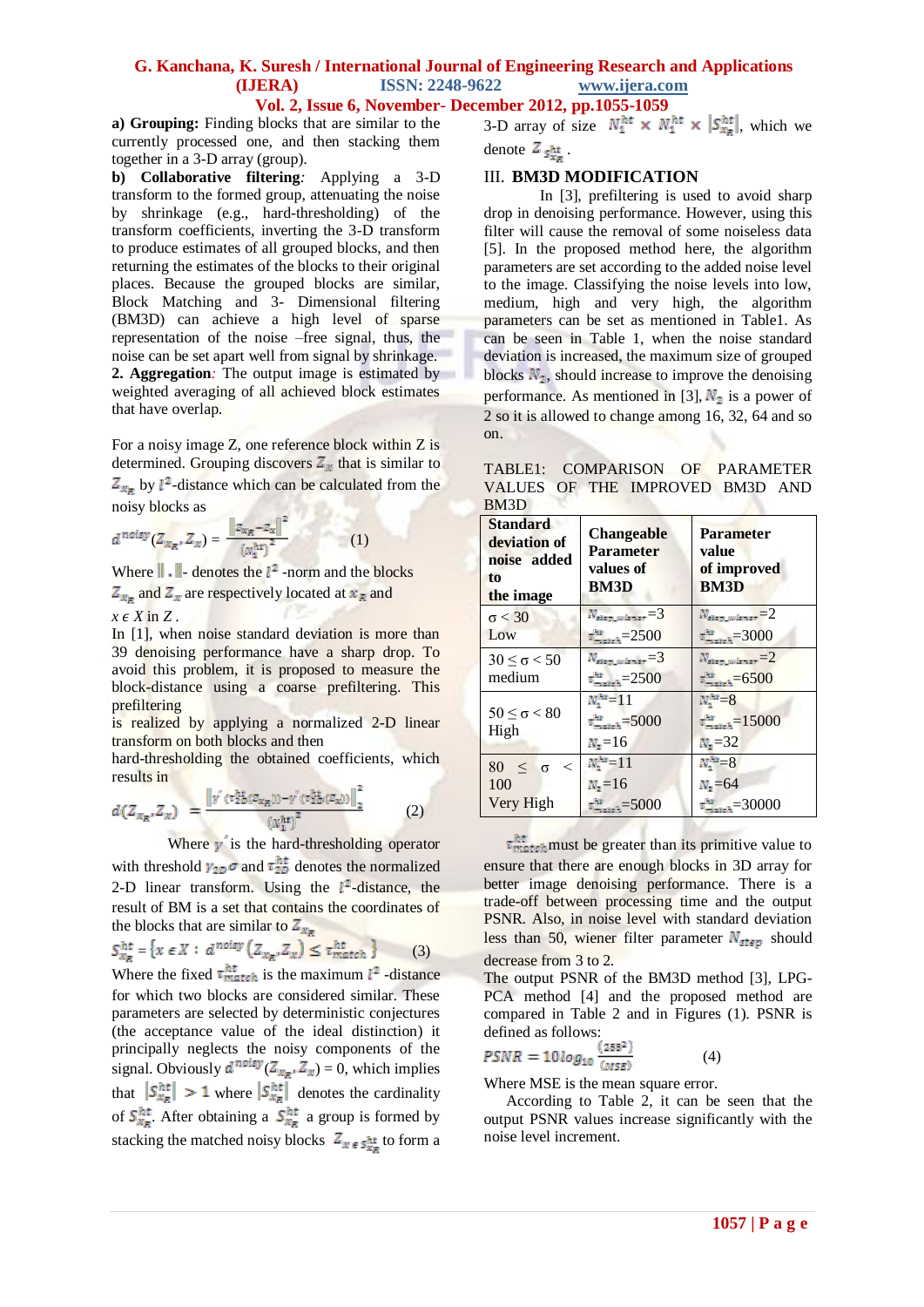## **G. Kanchana, K. Suresh / International Journal of Engineering Research and Applications (IJERA) ISSN: 2248-9622 www.ijera.com Vol. 2, Issue 6, November- December 2012, pp.1055-1059**

**a) Grouping:** Finding blocks that are similar to the currently processed one, and then stacking them together in a 3-D array (group).

**b) Collaborative filtering***:* Applying a 3-D transform to the formed group, attenuating the noise by shrinkage (e.g., hard-thresholding) of the transform coefficients, inverting the 3-D transform to produce estimates of all grouped blocks, and then returning the estimates of the blocks to their original places. Because the grouped blocks are similar, Block Matching and 3- Dimensional filtering (BM3D) can achieve a high level of sparse representation of the noise –free signal, thus, the noise can be set apart well from signal by shrinkage. **2. Aggregation***:* The output image is estimated by weighted averaging of all achieved block estimates that have overlap.

For a noisy image Z, one reference block within Z is determined. Grouping discovers  $Z_x$  that is similar to  $Z_{x_R}$  by  $l^2$ -distance which can be calculated from the noisy blocks as 秋み込

$$
d^{noisy}(Z_{x_R}, Z_x) = \frac{\|z_{x_R} - z_x\|^2}{(x_1^{ht})^2}
$$
 (1)

Where  $\|\cdot\|$ -denotes the  $l^2$ -norm and the blocks  $Z_{x_R}$  and  $Z_x$  are respectively located at  $x_R$  and  $x \in X$  in Z.

In [1], when noise standard deviation is more than 39 denoising performance have a sharp drop. To avoid this problem, it is proposed to measure the block-distance using a coarse prefiltering. This prefiltering

is realized by applying a normalized 2-D linear transform on both blocks and then

hard-thresholding the obtained coefficients, which results in

$$
d(Z_{x_R}, Z_x) = \frac{\left\|r'(\tau_2^h b(z_{x_R})) - r'(\tau_2^h b(z_x))\right\|_2^2}{\left(\frac{h}{\tau_2^h}\right)^2}
$$
(2)

Where  $\gamma$  is the hard-thresholding operator

with threshold  $\gamma_{2D} \sigma$  and  $\tau_{2D}^{ht}$  denotes the normalized 2-D linear transform. Using the  $l^2$ -distance, the result of BM is a set that contains the coordinates of the blocks that are similar to  $Z_{x}$ .

$$
S_{x_R}^{ht} = \{ x \in X : d^{noisy} (Z_{x_R}, Z_x) \le \tau_{match}^{ht} \}
$$
 (3)

Where the fixed  $\tau_{match}^{nt}$  is the maximum  $l^2$  -distance for which two blocks are considered similar. These parameters are selected by deterministic conjectures (the acceptance value of the ideal distinction) it principally neglects the noisy components of the signal. Obviously  $d^{noisy}(Z_{x,p}, Z_x) = 0$ , which implies that  $\left|S_{x_R}^{ht}\right| > 1$  where  $\left|S_{x_R}^{ht}\right|$  denotes the cardinality of  $S_{x_R}^{ht}$ . After obtaining a  $S_{x_R}^{ht}$  a group is formed by stacking the matched noisy blocks  $Z_{x \epsilon s}$  to form a

3-D array of size  $N_1^{ht} \times N_1^{ht} \times |\mathcal{S}_{X_R}^{ht}|$ , which we denote  $Z_{s_{xx}}^{ht}$ .

### III. **BM3D MODIFICATION**

In [3], prefiltering is used to avoid sharp drop in denoising performance. However, using this filter will cause the removal of some noiseless data [5]. In the proposed method here, the algorithm parameters are set according to the added noise level to the image. Classifying the noise levels into low, medium, high and very high, the algorithm parameters can be set as mentioned in Table1. As can be seen in Table 1, when the noise standard deviation is increased, the maximum size of grouped blocks  $N_2$ , should increase to improve the denoising performance. As mentioned in [3],  $N_2$  is a power of 2 so it is allowed to change among 16, 32, 64 and so on.

| TABLE1: COMPARISON OF PARAMETER |  |  |  |
|---------------------------------|--|--|--|
| VALUES OF THE IMPROVED BM3D AND |  |  |  |
| BM3D                            |  |  |  |

| <b>Standard</b><br>deviation of<br>noise added<br>to<br>the image | <b>Changeable</b><br>Parameter<br>values of<br><b>BM3D</b> | <b>Parameter</b><br>value<br>of improved<br><b>BM3D</b> |
|-------------------------------------------------------------------|------------------------------------------------------------|---------------------------------------------------------|
| $\sigma < 30$                                                     | $N_{\text{step\_wigner}} = 3$                              | $N_{\text{step\_wigner}} = 2$                           |
| Low                                                               | $\tau_{\text{match}}^{\text{th}}=2500$                     | $\tau_{\text{matter}}^{\text{fit}} = 3000$              |
| $30 \leq \sigma < 50$                                             | $N_{\tt step\_wiener} {=} 3$                               | $N_{\text{step\_wigner}} = 2$                           |
| medium                                                            | $\tau_{\text{match}}^{\text{ht}}$ = 2500                   | $\tau_{\text{model}}^{\text{fit}} = 6500$               |
|                                                                   | $N_{1}^{ht}$ = 11                                          | $N_1^{ht} = 8$                                          |
| $50 \leq \sigma < 80$<br>High                                     | $\tau_{\text{match}}^{\text{hit}}$ =5000                   | $\tau_{\text{match}}^{\text{fit}}=15000$                |
|                                                                   | $N_z = 16$                                                 | $N_z = 32$                                              |
| $80 \leq \sigma$ <                                                | $N_1^{ht}$ =11                                             | $N_1^{h*}=8$                                            |
| 100                                                               | $N_z = 16$                                                 | $N_z = 64$                                              |
| Very High                                                         | $\tau_{\text{matter}}^{\text{tot}} = 5000$                 | $\tau_{\text{matter}}^{\text{kin}} = 30000$             |

 $\tau_{match}^{ht}$  must be greater than its primitive value to ensure that there are enough blocks in 3D array for better image denoising performance. There is a trade-off between processing time and the output PSNR. Also, in noise level with standard deviation less than 50, wiener filter parameter  $N_{step}$  should decrease from 3 to 2.

The output PSNR of the BM3D method [3], LPG-PCA method [4] and the proposed method are compared in Table 2 and in Figures (1). PSNR is defined as follows:

$$
PSNR = 10 \log_{10} \frac{(255^2)}{(MSE)} \tag{4}
$$

Where MSE is the mean square error.

According to Table 2, it can be seen that the output PSNR values increase significantly with the noise level increment.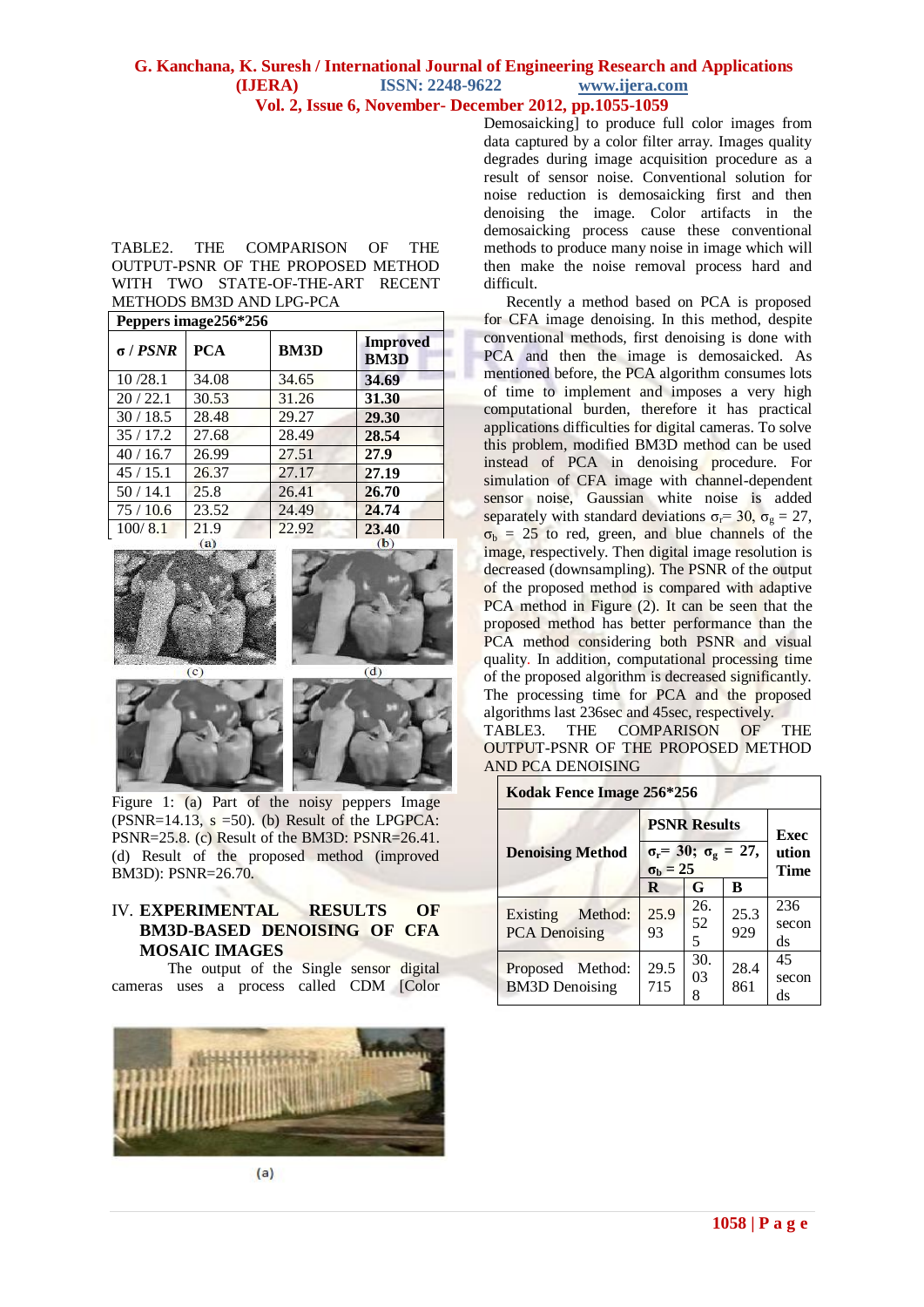## **G. Kanchana, K. Suresh / International Journal of Engineering Research and Applications (IJERA) ISSN: 2248-9622 www.ijera.com Vol. 2, Issue 6, November- December 2012, pp.1055-1059**

#### TABLE2. THE COMPARISON OF THE OUTPUT-PSNR OF THE PROPOSED METHOD WITH TWO STATE-OF-THE-ART RECENT METHODS BM3D AND LPG-PCA

**Penpers image 256\*256** 

| т сррста ннаделло для |            |             |                                |  |  |
|-----------------------|------------|-------------|--------------------------------|--|--|
| $\sigma$ / $PSNR$     | <b>PCA</b> | <b>BM3D</b> | <b>Improved</b><br><b>BM3D</b> |  |  |
| 10/28.1               | 34.08      | 34.65       | 34.69                          |  |  |
| 20/22.1               | 30.53      | 31.26       | 31.30                          |  |  |
| 30/18.5               | 28.48      | 29.27       | 29.30                          |  |  |
| 35/17.2               | 27.68      | 28.49       | 28.54                          |  |  |
| 40/16.7               | 26.99      | 27.51       | 27.9                           |  |  |
| 45/15.1               | 26.37      | 27.17       | 27.19                          |  |  |
| 50/14.1               | 25.8       | 26.41       | 26.70                          |  |  |
| 75/10.6               | 23.52      | 24.49       | 24.74                          |  |  |
| 100/8.1               | 21.9       | 22.92       | 23.40                          |  |  |





Figure 1: (a) Part of the noisy peppers Image  $(PSNR=14.13, s=50)$ . (b) Result of the LPGPCA: PSNR=25.8. (c) Result of the BM3D: PSNR=26.41. (d) Result of the proposed method (improved BM3D): PSNR=26.70.

## IV. **EXPERIMENTAL RESULTS OF BM3D-BASED DENOISING OF CFA MOSAIC IMAGES**

The output of the Single sensor digital cameras uses a process called CDM [Color



 $(a)$ 

Demosaicking] to produce full color images from data captured by a color filter array. Images quality degrades during image acquisition procedure as a result of sensor noise. Conventional solution for noise reduction is demosaicking first and then denoising the image. Color artifacts in the demosaicking process cause these conventional methods to produce many noise in image which will then make the noise removal process hard and difficult.

Recently a method based on PCA is proposed for CFA image denoising. In this method, despite conventional methods, first denoising is done with PCA and then the image is demosaicked. As mentioned before, the PCA algorithm consumes lots of time to implement and imposes a very high computational burden, therefore it has practical applications difficulties for digital cameras. To solve this problem, modified BM3D method can be used instead of PCA in denoising procedure. For simulation of CFA image with channel-dependent sensor noise, Gaussian white noise is added separately with standard deviations  $\sigma_r = 30$ ,  $\sigma_g = 27$ ,  $\sigma_b$  = 25 to red, green, and blue channels of the image, respectively. Then digital image resolution is decreased (downsampling). The PSNR of the output of the proposed method is compared with adaptive PCA method in Figure (2). It can be seen that the proposed method has better performance than the PCA method considering both PSNR and visual quality. In addition, computational processing time of the proposed algorithm is decreased significantly. The processing time for PCA and the proposed algorithms last 236sec and 45sec, respectively. TABLE3. THE COMPARISON OF THE OUTPUT-PSNR OF THE PROPOSED METHOD AND PCA DENOISING

| Kodak Fence Image 256*256                 |                                                                        |                              |             |                    |  |  |
|-------------------------------------------|------------------------------------------------------------------------|------------------------------|-------------|--------------------|--|--|
|                                           | <b>PSNR Results</b>                                                    | <b>Exec</b><br>ution<br>Time |             |                    |  |  |
| <b>Denoising Method</b>                   | $\sigma_{\rm r}$ = 30; $\sigma_{\rm g}$ = 27,<br>$\sigma_{\rm b} = 25$ |                              |             |                    |  |  |
|                                           | R                                                                      | G                            | B           |                    |  |  |
| Existing Method:<br><b>PCA</b> Denoising  | 25.9<br>93                                                             | 26.<br>52<br>5               | 25.3<br>929 | 236<br>secon<br>ds |  |  |
| Proposed Method:<br><b>BM3D</b> Denoising | 29.5<br>715                                                            | 30.<br>03<br>8               | 28.4<br>861 | 45<br>secon<br>ds  |  |  |